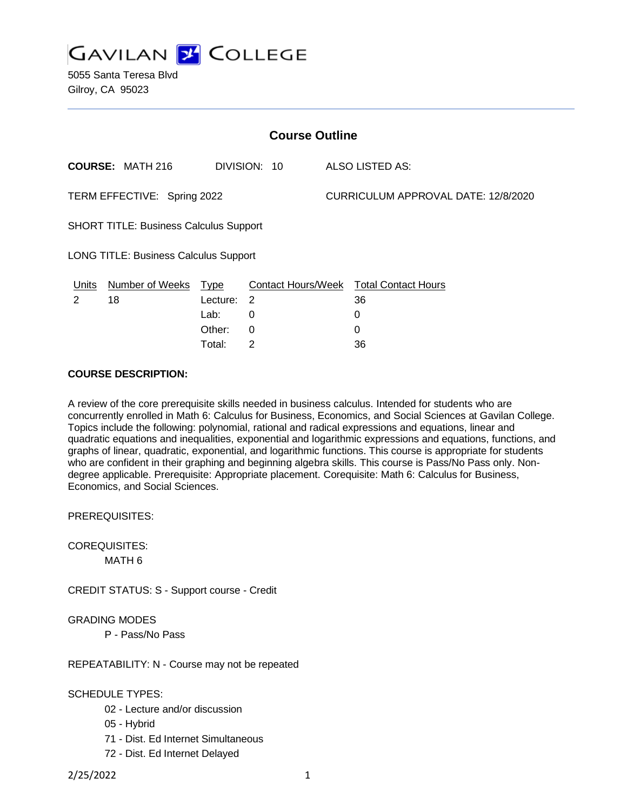**GAVILAN 2 COLLEGE** 

5055 Santa Teresa Blvd Gilroy, CA 95023

| <b>Course Outline</b>                         |                         |             |                           |                                     |                            |
|-----------------------------------------------|-------------------------|-------------|---------------------------|-------------------------------------|----------------------------|
|                                               | <b>COURSE: MATH 216</b> |             | DIVISION: 10              |                                     | ALSO LISTED AS:            |
| TERM EFFECTIVE: Spring 2022                   |                         |             |                           | CURRICULUM APPROVAL DATE: 12/8/2020 |                            |
| <b>SHORT TITLE: Business Calculus Support</b> |                         |             |                           |                                     |                            |
| <b>LONG TITLE: Business Calculus Support</b>  |                         |             |                           |                                     |                            |
| Units                                         | <b>Number of Weeks</b>  | <b>Type</b> | <b>Contact Hours/Week</b> |                                     | <b>Total Contact Hours</b> |
| 2                                             | 18                      | Lecture:    | 2                         |                                     | 36                         |
|                                               |                         | Lab:        | 0                         |                                     | 0                          |
|                                               |                         | Other:      | $\Omega$                  |                                     | 0                          |
|                                               |                         | Total⊤      | 2                         |                                     | 36                         |

# **COURSE DESCRIPTION:**

A review of the core prerequisite skills needed in business calculus. Intended for students who are concurrently enrolled in Math 6: Calculus for Business, Economics, and Social Sciences at Gavilan College. Topics include the following: polynomial, rational and radical expressions and equations, linear and quadratic equations and inequalities, exponential and logarithmic expressions and equations, functions, and graphs of linear, quadratic, exponential, and logarithmic functions. This course is appropriate for students who are confident in their graphing and beginning algebra skills. This course is Pass/No Pass only. Nondegree applicable. Prerequisite: Appropriate placement. Corequisite: Math 6: Calculus for Business, Economics, and Social Sciences.

PREREQUISITES:

COREQUISITES:

MATH 6

CREDIT STATUS: S - Support course - Credit

GRADING MODES

P - Pass/No Pass

REPEATABILITY: N - Course may not be repeated

SCHEDULE TYPES:

- 02 Lecture and/or discussion
- 05 Hybrid
- 71 Dist. Ed Internet Simultaneous
- 72 Dist. Ed Internet Delayed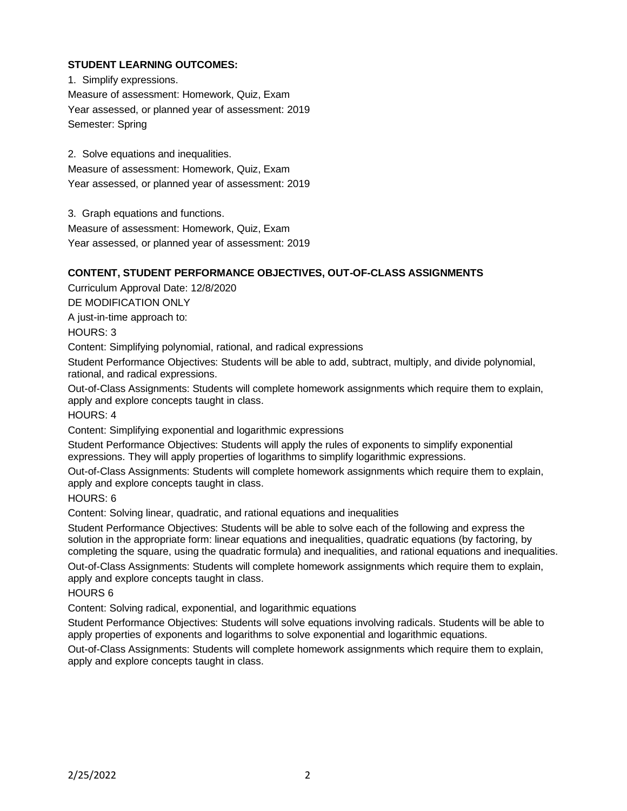# **STUDENT LEARNING OUTCOMES:**

1. Simplify expressions. Measure of assessment: Homework, Quiz, Exam Year assessed, or planned year of assessment: 2019 Semester: Spring

2. Solve equations and inequalities. Measure of assessment: Homework, Quiz, Exam Year assessed, or planned year of assessment: 2019

3. Graph equations and functions.

Measure of assessment: Homework, Quiz, Exam

Year assessed, or planned year of assessment: 2019

# **CONTENT, STUDENT PERFORMANCE OBJECTIVES, OUT-OF-CLASS ASSIGNMENTS**

Curriculum Approval Date: 12/8/2020

DE MODIFICATION ONLY

A just-in-time approach to:

HOURS: 3

Content: Simplifying polynomial, rational, and radical expressions

Student Performance Objectives: Students will be able to add, subtract, multiply, and divide polynomial, rational, and radical expressions.

Out-of-Class Assignments: Students will complete homework assignments which require them to explain, apply and explore concepts taught in class.

HOURS: 4

Content: Simplifying exponential and logarithmic expressions

Student Performance Objectives: Students will apply the rules of exponents to simplify exponential expressions. They will apply properties of logarithms to simplify logarithmic expressions.

Out-of-Class Assignments: Students will complete homework assignments which require them to explain, apply and explore concepts taught in class.

HOURS: 6

Content: Solving linear, quadratic, and rational equations and inequalities

Student Performance Objectives: Students will be able to solve each of the following and express the solution in the appropriate form: linear equations and inequalities, quadratic equations (by factoring, by completing the square, using the quadratic formula) and inequalities, and rational equations and inequalities.

Out-of-Class Assignments: Students will complete homework assignments which require them to explain, apply and explore concepts taught in class.

HOURS 6

Content: Solving radical, exponential, and logarithmic equations

Student Performance Objectives: Students will solve equations involving radicals. Students will be able to apply properties of exponents and logarithms to solve exponential and logarithmic equations.

Out-of-Class Assignments: Students will complete homework assignments which require them to explain, apply and explore concepts taught in class.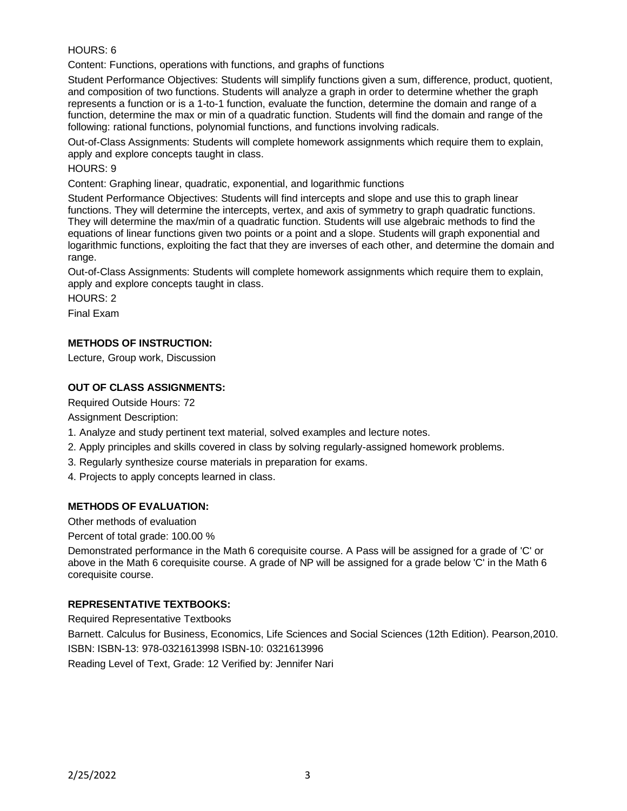## HOURS: 6

Content: Functions, operations with functions, and graphs of functions

Student Performance Objectives: Students will simplify functions given a sum, difference, product, quotient, and composition of two functions. Students will analyze a graph in order to determine whether the graph represents a function or is a 1-to-1 function, evaluate the function, determine the domain and range of a function, determine the max or min of a quadratic function. Students will find the domain and range of the following: rational functions, polynomial functions, and functions involving radicals.

Out-of-Class Assignments: Students will complete homework assignments which require them to explain, apply and explore concepts taught in class.

#### HOURS: 9

Content: Graphing linear, quadratic, exponential, and logarithmic functions

Student Performance Objectives: Students will find intercepts and slope and use this to graph linear functions. They will determine the intercepts, vertex, and axis of symmetry to graph quadratic functions. They will determine the max/min of a quadratic function. Students will use algebraic methods to find the equations of linear functions given two points or a point and a slope. Students will graph exponential and logarithmic functions, exploiting the fact that they are inverses of each other, and determine the domain and range.

Out-of-Class Assignments: Students will complete homework assignments which require them to explain, apply and explore concepts taught in class.

HOURS: 2

Final Exam

## **METHODS OF INSTRUCTION:**

Lecture, Group work, Discussion

## **OUT OF CLASS ASSIGNMENTS:**

Required Outside Hours: 72

Assignment Description:

- 1. Analyze and study pertinent text material, solved examples and lecture notes.
- 2. Apply principles and skills covered in class by solving regularly-assigned homework problems.
- 3. Regularly synthesize course materials in preparation for exams.
- 4. Projects to apply concepts learned in class.

## **METHODS OF EVALUATION:**

Other methods of evaluation

Percent of total grade: 100.00 %

Demonstrated performance in the Math 6 corequisite course. A Pass will be assigned for a grade of 'C' or above in the Math 6 corequisite course. A grade of NP will be assigned for a grade below 'C' in the Math 6 corequisite course.

## **REPRESENTATIVE TEXTBOOKS:**

Required Representative Textbooks

Barnett. Calculus for Business, Economics, Life Sciences and Social Sciences (12th Edition). Pearson,2010. ISBN: ISBN-13: 978-0321613998 ISBN-10: 0321613996

Reading Level of Text, Grade: 12 Verified by: Jennifer Nari